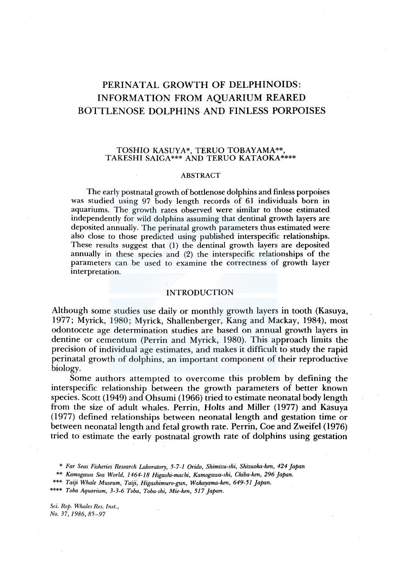# PERINATAL GROWTH OF DELPHINOIDS: INFORMATION FROM AQUARIUM REARED BOTTLENOSE DOLPHINS AND FINLESS PORPOISES

#### TOSHIO KASUYA\*, *TERVO* TOBAYAMA\*\*, TAKESHI SAIGA\*\*\* AND *TERVO* KATAOKA\*\*\*\*

#### ABSTRACT

The early postnatal growth of bottlenose dolphins and finless porpoises was studied using 97 body length records of 61 individuals born in aquariums. The growth rates observed were similar to those estimated independently for wild dolphins assuming that dentinal growth layers are deposited annually. The perinatal growth parameters thus estimated were also close to those predicted using published interspecific relationships. These results suggest that (1) the dentinal growth layers are deposited annually in these species and (2) the interspecific relationships of the parameters can be used to examine the correctness of growth layer interpretation.

#### INTRODUCTION

Although some studies use daily or monthly growth layers in tooth (Kasuya, 1977; Myrick, 1980; Myrick, Shallenberger, Kang and Mackay, 1984), most odontocete age determination studies are based on annual growth layers in dentine or cementum (Perrin and Myrick, 1980). This approach limits the precision of individual age estimates, and makes it difficult to study the rapid perinatal growth of dolphins, an important component of their reproductive biology.

Some authors attempted to overcome this problem by defining the interspecific relationship between the growth parameters of better known species. Scott ( 1949) and Ohsumi ( 1966) tried to estimate neonatal body length from the size of adult whales. Perrin, Holts and Miller ( 1977) and Kasuya ( 1977) defined relationships between neonatal length and gestation time or between neonatal length and fetal growth rate. Perrin, Coe and Zweifel (1976) tried to estimate the early postnatal growth rate of dolphins using gestation

*Sci. Rep. Whales Res. Inst., No. 37, 1986, 85-97* 

<sup>\*</sup> *Far Seas Fisheries Research Laboratory, 5-7-1 Orido, Shimizu-ski, Shizuoka-ken, 424 Japan* 

<sup>\*\*</sup> *Kamogawa Sea World, 1464-18 Higashi-machi, Kamogawa-shi, Chiba-ken, 296 Japan.* 

<sup>\*\*\*</sup> *Taiji Whale Museum, Taiji, Higashimuro-gun, Wakayama-ken, 649-51 Japan.* 

<sup>\*\*\*\*</sup> *Toba Aquarium, 3-3-6 Toba, Toba-shi, Mie-ken, 517 Japan.*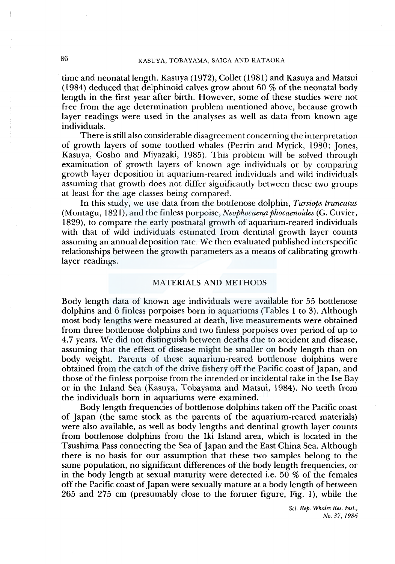## 86 KASUYA, TOBAYAMA, SAIGA AND KATAOKA

time and neonatal length. Kasuya (1972), Collet (1981) and Kasuya and Matsui (1984) deduced that delphinoid calves grow about  $60\%$  of the neonatal body length in the first year after birth. However, some of these studies were not free from the age determination problem mentioned above, because growth layer readings were used in the analyses as well as data from known age individuals.

There is still also considerable disagreement concerning the interpretation of growth layers of some toothed whales (Perrin and Myrick, 1980; Jones, Kasuya, Gosho and Miyazaki, 1985). This problem will be solved through examination of growth layers of known age individuals or by comparing growth layer deposition in aquarium-reared individuals and wild individuals assuming that growth does not differ significantly between these two groups at least for the age classes being compared.

In this study, we use data from the bottlenose dolphin, *Tursiops truncatus*  (Montagu, 1821), and the finless porpoise, *Neophocaena phocaenoides* (G. Cuvier, 1829), to compare the early postnatal growth of aquarium-reared individuals with that of wild individuals estimated from dentinal growth layer counts assuming an annual deposition rate. We then evaluated published interspecific relationships between the growth parameters as a means of calibrating growth. layer readings.

#### MATERIALS AND METHODS

Body length data of known age individuals were available for 55 bottlenose dolphins and 6 finless porpoises born in aquariums (Tables 1 to 3). Although most body lengths were measured at death, live measurements were obtained from three bottlenose dolphins and two finless porpoises over period of up to 4.7 years. We did not distinguish between deaths due to accident and disease, assuming that the effect of disease might be smaller on body length than on body weight. Parents of these aquarium-reared bottlenose dolphins were obtained from the catch of the drive fishery off the Pacific coast of Japan, and those of the finless porpoise from the intended or incidental take in the Ise Bay or in the Inland Sea (Kasuya, Tobayama and Matsui, 1984). No teeth from the individuals born in aquariums were examined.

Body length frequencies of bottlenose dolphins taken off the Pacific coast of Japan (the same stock as the parents of the aquarium-reared materials) were also available, as well as body lengths and dentinal growth layer counts from bottlenose dolphins from the Iki Island area, which is located in the Tsushima Pass connecting the Sea of Japan and the East China Sea. Although there is no basis for our assumption that these two samples belong to the same population, no significant differences of the body length frequencies, or in the body length at sexual maturity were detected i.e. 50 % of the females off the Pacific coast of Japan were sexually mature at a body length of between 265 and 275 cm (presumably close to the former figure, Fig. 1), while the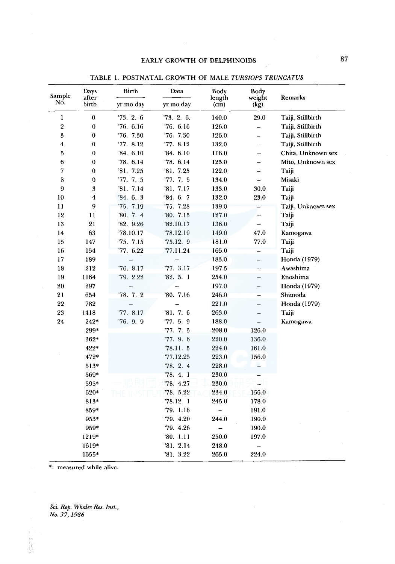#### EARLY GROWTH OF DELPHINOIDS

| Sample         | Days<br>after           | <b>Birth</b> | Data       | Body<br>length           | Body<br>weight           | Remarks            |
|----------------|-------------------------|--------------|------------|--------------------------|--------------------------|--------------------|
| No.            | birth                   | yr mo day    | yr mo day  | $\rm (cm)$               | (kg)                     |                    |
| 1              | $\boldsymbol{0}$        | 73.2.6       | '73. 2. 6. | 140.0                    | 29.0                     | Taiji, Stillbirth  |
| $\overline{2}$ | $\bf{0}$                | 76.6.16      | '76. 6.16  | 126.0                    | $\overline{\phantom{0}}$ | Taiji, Stillbirth  |
| 3              | $\bf{0}$                | 76.7.30      | 76.7.30    | 126.0                    | $\overline{\phantom{0}}$ | Taiji, Stillbirth  |
| $\overline{4}$ | $\boldsymbol{0}$        | '77. 8.12    | '77.8.12   | 132.0                    | -                        | Taiji, Stillbirth  |
| 5              | $\bf{0}$                | '84.6.10     | '84.6.10   | 116.0                    | $\rightarrow$            | Chita, Unknown sex |
| 6              | $\bf{0}$                | '78. 6.14    | '78. 6.14  | 125.0                    | $\overline{\phantom{0}}$ | Mito, Unknown sex  |
| 7              | $\theta$                | '81.7.25     | '81. 7.25  | 122.0                    | ÷,                       | Taiji              |
| 8              | $\boldsymbol{0}$        | '77.7.5      | '77. 7. 5  | 134.0                    |                          | Misaki             |
| 9              | 3                       | '81.7.14     | '81. 7.17  | 133.0                    | 30.0                     | Taiji              |
| 10             | $\overline{\mathbf{4}}$ | '84.6.3      | '84. 6. 7  | 132.0                    | 23.0                     | Taiji              |
| 11             | 9                       | 75.7.19      | 75.7.28    | 139.0                    |                          | Taiji, Unknown sex |
| 12             | 11                      | 80.7.4       | '80.7.15   | 127.0                    | $\equiv$                 | Taiji              |
| 13             | 21                      | '82.9.26     | '82.10.17  | 136.0                    |                          | Taiji              |
| 14             | 63                      | 78.10.17     | '78.12.19  | 149.0                    | 47.0                     | Kamogawa           |
| 15             | 147                     | '75. 7.15    | 75.12.9    | 181.0                    | 77.0                     | Taiji              |
| 16             | 154                     | '77. 6.22    | '77.11.24  | 165.0                    |                          | Taiji              |
| 17             | 189                     |              |            | 183.0                    | -                        | Honda (1979)       |
| 18             | 212                     | '76. 8.17    | '77. 3.17  | 197.5                    |                          | Awashima           |
| 19             | 1164                    | '79. 2.22    | '82.5.1    | 254.0                    |                          | Enoshima           |
| 20             | 297                     | —            |            | 197.0                    | -                        | Honda (1979)       |
| 21             | 654                     | '78. 7. 2    | '80.7.16   | 246.0                    |                          | Shimoda            |
| 22             | 782                     |              |            | 221.0                    | $\equiv$                 | Honda (1979)       |
| 23             | 1418                    | '77.8.17     | '81.7.6    | 263.0                    | $\overline{\phantom{0}}$ | Taiji              |
| 24             | $242*$                  | '76. 9. 9    | '77.5.9    | 188.0                    |                          | Kamogawa           |
|                | 299*                    |              | 77.7.5     | 208.0                    | 126.0                    |                    |
|                | 362*                    |              | '77. 9. 6  | 220.0                    | 136.0                    |                    |
|                | 422*                    |              | 78.11.5    | 224.0                    | 161.0                    |                    |
|                | 472*                    |              | '77.12.25  | 223.0                    | 156.0                    |                    |
|                | $513*$                  |              | 78.2.4     | 228.0                    |                          |                    |
|                | 569*                    |              | 78.4.1     | 230.0                    |                          |                    |
|                | 595*                    |              | '78. 4.27  | 230.0                    | ۳                        |                    |
|                | 620*                    |              | '78. 5.22  | 234.0                    | 156.0                    |                    |
|                | 813*                    |              | '78.12.1   | 245.0                    | 178.0                    |                    |
|                | 859*                    |              | '79. 1.16  | $\overline{\phantom{0}}$ | 191.0                    |                    |
|                | $953*$                  |              | 79.4.20    | 244.0                    | 190.0                    |                    |
|                | 959*                    |              | '79. 4.26  |                          | 190.0                    |                    |
|                | 1219*                   |              | '80. 1.11  | 250.0                    | 197.0                    |                    |
|                | 1619*                   |              | '81.2.14   | 248.0                    |                          |                    |
|                | 1655*                   |              | 3.22       | 265.0                    | 224.0                    |                    |

TABLE 1. POSTNATAL GROWTH OF MALE *TURSIOPS TRUNCATUS* 

\*: measured while alive.

*Sci. Rep. Whales Res. Inst., No. 37, 1986* 

2010年4月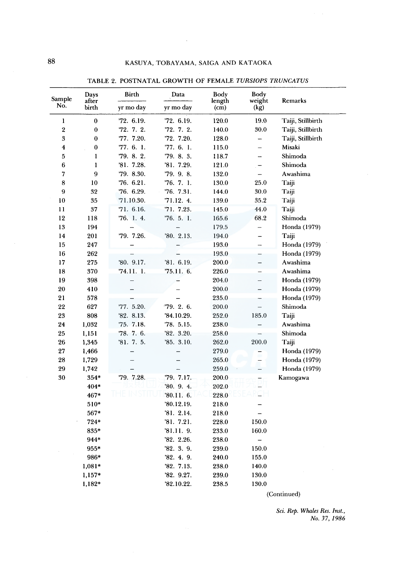$\mathcal{A}$ 

| Sample           | Days<br>after | Birth                    | Data       | Body<br>length | Body<br>weight           | Remarks           |
|------------------|---------------|--------------------------|------------|----------------|--------------------------|-------------------|
| No.              | birth         | yr mo day                | yr mo day  | (cm)           | (kg)                     |                   |
| $\bf{l}$         | $\bf{0}$      | '72. 6.19.               | '72. 6.19. | 120.0          | 19.0                     | Taiji, Stillbirth |
| $\bf 2$          | $\bf{0}$      | 72.7.2.                  | 72.7.2.    | 140.0          | 30.0                     | Taiji, Stillbirth |
| 3                | $\bf{0}$      | 77. 7.20.                | '72. 7.20. | 128.0          | $\overline{\phantom{0}}$ | Taiji, Stillbirth |
| $\boldsymbol{4}$ | $\bf{0}$      | '77. 6. 1.               | '77. 6. 1. | 115.0          | $\overline{\phantom{0}}$ | Misaki            |
| 5                | $\mathbf{1}$  | '79. 8. 2.               | "79. 8. 3. | 118.7          |                          | Shimoda           |
| 6                | ı             | '81. 7.28.               | '81. 7.29. | 121.0          | -                        | Shimoda           |
| 7                | 9             | '79. 8.30.               | '79. 9. 8. | 132.0          | $\overline{\phantom{0}}$ | Awashima          |
| 8                | 10            | 76.6.21.                 | '76. 7. 1. | 130.0          | 25.0                     | Taiji             |
| 9                | 32            | "76. 6.29.               | '76. 7.31. | 144.0          | 30.0                     | Taiji             |
| 10               | 35            | '71.10.30.               | 71.12.4.   | 139.0          | 35.2                     | Taiji             |
| 11               | 37            | '71. 6.16.               | 71.7.23.   | 145.0          | 44.0                     | Taiji             |
| 12               | 118           | 76.1.4.                  | 76.5.1     | 165.6          | 68.2                     | Shimoda           |
| 13               | 194           |                          |            | 179.5          | $\equiv$                 | Honda (1979)      |
| 14               | 201           | 79. 7.26.                | 80.2.13.   | 194.0          | -                        | Taiji             |
| 15               | 247           |                          |            | 193.0          | $\overline{\phantom{0}}$ | Honda (1979)      |
| 16               | 262           |                          |            | 193.0          | -                        | Honda (1979)      |
| 17               | 275           | '80. 9.17.               | '81. 6.19. | 200.0          | $\overline{\phantom{0}}$ | Awashima          |
| 18               | 370           | '74.11. 1.               | '75.11. 6. | 226.0          | -                        | Awashima          |
| 19               | 398           | $\overline{\phantom{0}}$ |            | 204.0          | $\overline{\phantom{0}}$ | Honda (1979)      |
| 20               | 410           |                          |            | 200.0          |                          | Honda (1979)      |
| 21               | 578           |                          |            | 235.0          |                          | Honda (1979)      |
| 22               | 627           | '77. 5.20.               | "79. 2. 6. | 200.0          |                          | Shimoda           |
| 23               | 808           | '82. 8.13.               | '84.10.29. | 252.0          | 185.0                    | Taiji             |
| 24               | 1,032         | '75. 7.18.               | '78. 5.15. | 238.0          |                          | Awashima          |
| 25               | 1,151         | "78. 7. 6.               | '82.3.20.  | 258.0          |                          | Shimoda           |
| 26               | 1,345         | 31.7.5.                  | '85.3.10.  | 262.0          | 200.0                    | Taiji             |
| 27               | 1,466         |                          |            | 279.0          |                          | Honda (1979)      |
| 28               | 1,729         |                          |            | 265.0          |                          | Honda (1979)      |
| 29               | 1,742         |                          |            | 259.0          | <u></u>                  | Honda (1979)      |
| 30               | $354*$        | 79. 7.28.                | "79. 7.17. | 200.0          |                          | Kamogawa          |
|                  | 404*          |                          | '80. 9. 4. | 202.0          |                          |                   |
|                  | 467*          |                          | '80.11. 6. | 228.0          |                          |                   |
|                  | 510*          |                          | '80.12.19. | 218.0          |                          |                   |
|                  | 567*          |                          | '81.2.14.  | 218.0          |                          |                   |
|                  | 724*          |                          | 31.7.21.   | 228.0          | 150.0                    |                   |
|                  | 835*          |                          | '81.11. 9. | 233.0          | 160.0                    |                   |
|                  | 944*          |                          | '82. 2.26. | 238.0          | $\overline{\phantom{0}}$ |                   |
|                  | 955*          |                          | '82.3.9.   | 239.0          | 150.0                    |                   |
|                  | 986*          |                          | '82.4.9.   | 240.0          | 155.0                    |                   |
|                  | $1,081*$      |                          | '82. 7.13. | 238.0          | 140.0                    |                   |
|                  | $1,157*$      |                          | '82. 9.27. | 239.0          | 130.0                    |                   |
|                  | 1,182*        |                          | '82.10.22. | 238.5          | 130.0                    |                   |

TABLE 2. POSTNATAL GROWTH OF FEMALE *TURSJOPS TRUNCATUS* 

(Continued)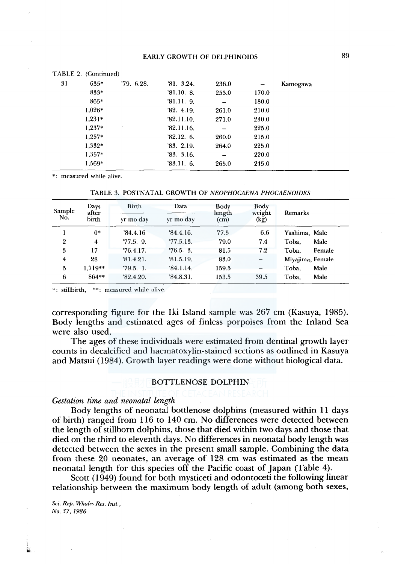|    | TABLE 2. (Continued) |          |              |       |       |          |  |
|----|----------------------|----------|--------------|-------|-------|----------|--|
| 31 | $635*$               | 79.6.28. | 3.24.        | 236.0 |       | Kamogawa |  |
|    | 833*                 |          | '81.10.8.    | 253.0 | 170.0 |          |  |
|    | 865*                 |          | $-81.11.9$ . |       | 180.0 |          |  |
|    | $1.026*$             |          | '82.4.19.    | 261.0 | 210.0 |          |  |
|    | $1,231*$             |          | '82.11.10.   | 271.0 | 230.0 |          |  |
|    | 1,237*               |          | '82.11.16.   |       | 225.0 |          |  |
|    | $1.257*$             |          | '82.12.6.    | 260.0 | 215.0 |          |  |
|    | 1,332*               |          | '83.2.19.    | 264.0 | 225.0 |          |  |
|    | $1.357*$             |          | 33.3.16.     |       | 220.0 |          |  |
|    | 1,569*               |          | '83.11.6.    | 265.0 | 245.0 |          |  |
|    |                      |          |              |       |       |          |  |

\*· measured while alive.

| Sample<br>No.  | Days<br>after<br>birth | Birth<br>yr mo day | Data<br>yr mo day | Body<br>length<br>(cm) | Body<br>weight<br>(kg) | Remarks          |
|----------------|------------------------|--------------------|-------------------|------------------------|------------------------|------------------|
|                | $0*$                   | 34.4.16            | 34.4.16.          | 77.5                   | 6.6                    | Yashima, Male    |
| $\mathfrak{p}$ | 4                      | 77.5.9.            | 77.5.13.          | 79.0                   | 7.4                    | Toba.<br>Male    |
| 3              | 17                     | 76.4.17.           | 76.5.3.           | 81.5                   | 7.2                    | Toba.<br>Female  |
| $\overline{4}$ | 28                     | 81.4.21.           | 31.5.19.          | 83.0                   |                        | Miyajima, Female |
| 5              | $1.719**$              | 79.5.1             | 34.1.14.          | 159.5                  |                        | Male<br>Toba.    |
| 6              | 864**                  | '82.4.20.          | 34.8.31.          | 153.5                  | 39.5                   | Toba.<br>Male    |

\*: stillbirth, \*\*: measured while alive.

corresponding figure for the Iki Island sample was 267 cm (Kasuya, 1985). Body lengths and estimated ages of finless porpoises from the Inland Sea were also used.

The ages of these individuals were estimated from dentinal growth layer counts in decalcified and haematoxylin-stained sections as outlined in Kasuya and Matsui (1984). Growth layer readings were done without biological data.

#### BOTTLENOSE DOLPHIN

#### *Gestation time and neonatal length*

Body lengths of neonatal bottlenose dolphins (measured within 11 days of birth) ranged from 116 to 140 cm. No differences were detected between the length of stillborn dolphins, those that died within two days and those that died on the third to eleventh days. No differences in neonatal body length was detected between the sexes in the present small sample. Combining the data. from these 20 neonates, an average of 128 cm was estimated as the mean neonatal length for this species off the Pacific coast of Japan (Table 4).

Scott (1949) found for both mysticeti and odontoceti the following linear relationship between the maximum body length of adult (among both sexes,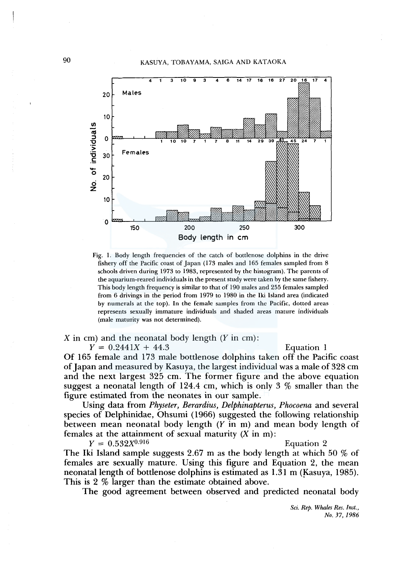## 90 KASUYA, TOBAYAMA, SAIGA AND KATAOKA



Fig. 1. Body length frequencies of the catch of bottlenose dolphins in the drive fishery off the Pacific coast of Japan (173 males and 165 females sampled from 8 schools driven during 1973 to 1983, represented by the histogram). The parents of the aquarium-reared individuals in the present study were taken by the same fishery. This body length frequency is similar to that of 190 males and 255 females sampled from 6 drivings in the period from 1979 to 1980 in the Iki Island area (indicated by numerals at the top). In the female samples from the Pacific, dotted areas represents sexually immature individuals and shaded areas mature individuals (male maturity was not determined).

*X* in cm) and the neonatal body length (Y in cm):

 $Y = 0.2441X + 44.3$  Equation 1

Of 165 female and 173 male bottlenose dolphins taken off the Pacific coast of Japan and measured by Kasuya, the largest individual was a male of 328 cm and the next largest 325 cm. The former figure and the above equation suggest a neonatal length of 124.4 cm, which is only 3  $\%$  smaller than the figure estimated from the neonates in our sample.

Using data from *Physeter, Berardius, Delphinapterus, Phocoena* and several species of Delphinidae, Ohsumi ( 1966) suggested the following relationship between mean neonatal body length (Y in m) and mean body length of females at the attainment of sexual maturity  $(X \text{ in } m)$ :

 $Y = 0.532X^{0.916}$ **Equation 2** 

The Iki Island sample suggests 2.67 m as the body length at which 50 % of females are sexually mature. Using this figure and Equation 2, the mean neonatal length of bottlenose dolphins is estimated as  $1.31$  m (Kasuya, 1985). This is 2 % larger than the estimate obtained above.

The good agreement between observed and predicted neonatal body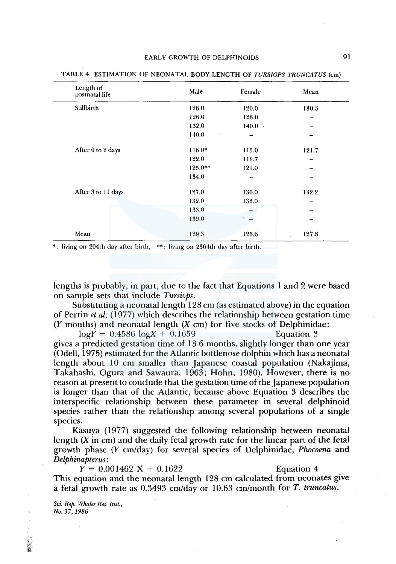| Length of<br>postnatal life | Male        | Female | Mean  |
|-----------------------------|-------------|--------|-------|
| Stillbirth                  | 126.0       | 120.0  | 130.3 |
|                             | 126.0       | 128.0  |       |
|                             | 132.0       | 140.0  |       |
|                             | 140.0<br>ä, |        |       |
| After 0 to 2 days           | $116.0*$    | 115.0  | 121.7 |
|                             | 122.0       | 118.7  |       |
|                             | $125.0**$   | 121.0  |       |
|                             | 134.0       |        |       |
| After 3 to 11 days          | 127.0       | 130.0  | 132.2 |
|                             | 132.0       | 132.0  |       |
|                             | 133.0       |        | -     |
|                             | 139.0       |        |       |
| Mean                        | 129.3       | 125.6  | 127.8 |

TABLE 4. ESTIMATION OF NEONATAL BODY LENGTH OF *TURSIOPS TRUNCATUS* (cm)

\*: living on 204th day after birth, \*\*: Jiving on 2364th day after birth.

lengths is probably, in part, due to the fact that Equations 1 and 2 were based on sample sets that include *Tursiops.* 

Substituting a neonatal length 128 cm (as estimated above) in the equation of Perrin *et al.* ( 1977) which describes the relationship between gestation time (Y months) and neonatal length  $(X \text{ cm})$  for five stocks of Delphinidae:

 $logY = 0.4586 logX + 0.1659$  Equation 3 gives a predicted gestation time of 13.6 months, slightly longer than one year (Odell, 1975) estimated for the Atlantic bottlenose dolphin which has a neonatal length about 10 cm smaller than Japanese coastal population (Nakajima, Takahashi, Ogura and Sawaura, 1963; Hohn, 1980). However, there is no reason at present to conclude that the gestation time of the Japanese population is longer than that of the Atlantic, because above Equation 3 describes the interspecific relationship between these parameter in several delphinoid species rather than the relationship among several populations of a single species.

Kasuya ( 1977) suggested the following relationship between neonatal length (X in cm) and the daily fetal growth rate for the linear part of the fetal growth phase *(Y* cm/day) for several species of Delphinidae, *Phocoena* and *Delphinapterus:* 

 $Y = 0.001462 \text{ X} + 0.1622$  Equation 4

This equation and the neonatal length 128 cm calculated from neonates give a fetal growth rate as 0.3493 cm/day or 10.63 cm/month for *T. truncatus.* 

*Sci. Rep. Whales Res. Inst., No. 37, 1986* 

**INSTRUCTION**  $\mathbf{r}$ ' '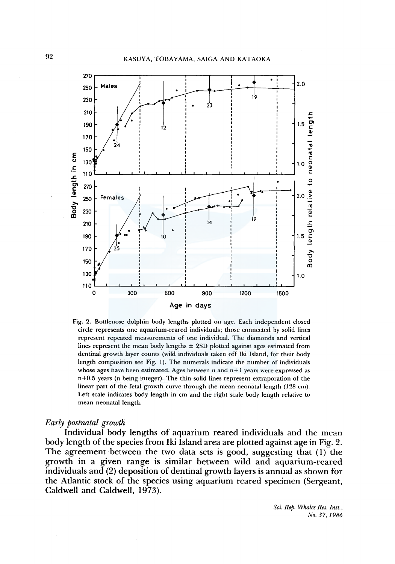

Fig. 2. Bottlenose dolphin body lengths plotted on age. Each independent closed circle represents one aquarium-reared individuals; those connected by solid lines represent repeated measurements of one individual. The diamonds and vertical lines represent the mean body lengths  $\pm$  2SD plotted against ages estimated from dentinal growth layer counts (wild individuals taken off Iki Island, for their body length composition see Fig. 1). The numerals indicate the number of individuals whose ages have been estimated. Ages between n and  $n+1$  years were expressed as  $n+0.5$  years (n being integer). The thin solid lines represent extraporation of the linear part of the fetal growth curve through the mean neonatal length (128 cm). Left scale indicates body length in cm and the right scale body length relative to mean neonatal length.

#### *Early postnatal growth*

Individual body lengths of aquarium reared individuals and the mean body length of the species from Iki Island area are plotted against age in Fig. 2. The agreement between the two data sets is good, suggesting that (I) the growth in a given range is similar between wild and aquarium-reared individuals and (2) deposition of dentinal growth layers is annual as shown for the Atlantic stock of the species using aquarium reared specimen (Sergeant, Caldwell and Caldwell, 1973).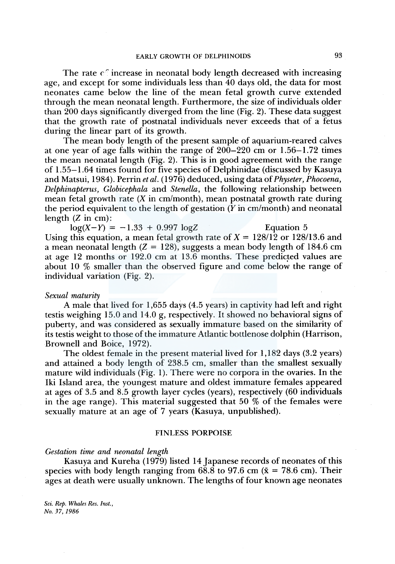The rate  $\epsilon$  increase in neonatal body length decreased with increasing age, and except for some individuals less than 40 days old, the data for most neonates came below the line of the mean fetal growth curve extended through the mean neonatal length. Furthermore, the size of individuals older than 200 days significantly diverged from the line (Fig. 2). These data suggest that the growth rate of postnatal individuals never exceeds that of a fetus during the linear part of its growth.

The mean body length of the present sample of aquarium-reared calves at one year of age falls within the range of  $200-220$  cm or  $1.56-1.72$  times the mean neonatal length (Fig. 2). This is in good agreement with the range of 1.55-1.64 times found for five species of Delphinidae (discussed by Kasuya and Matsui, 1984). Perrin *et al.* ( 1976) deduced, using data of *Physeter, Phocoena, Delphinapterus, Globicephala* and *Stenella,* the following relationship between mean fetal growth rate  $(X \in \mathbb{R})$  m cm/month), mean postnatal growth rate during the period equivalent to the length of gestation  $(Y \text{ in } \text{cm}/\text{month})$  and neonatal length  $(Z \text{ in cm})$ :

 $log(X-Y) = -1.33 + 0.997 logZ$  Equation 5 Using this equation, a mean fetal growth rate of  $X = 128/12$  or 128/13.6 and a mean neonatal length  $(Z = 128)$ , suggests a mean body length of 184.6 cm at age  $12$  months or  $192.0 \text{ cm}$  at  $13.6 \text{ months}$ . These predicted values are about 10 % smaller than the observed figure and come below the range of individual variation (Fig. 2).

#### *Sexual maturity*

A male that lived for 1,655 days (4.5 years) in captivity had left and right testis weighing 15.0 and 14.0 g, respectively. It showed no behavioral signs of puberty, and was considered as sexually immature based on the similarity of its testis weight to those of the immature Atlantic bottlenose dolphin (Harrison, Brownell and Boice, 1972).

The oldest female in the present material lived for 1,182 days (3.2 years) and attained a body length of 238.5 cm, smaller than the smallest sexually mature wild individuals (Fig. 1). There were no corpora in the ovaries. In the Iki Island area, the youngest mature and oldest immature females appeared at ages of 3.5 and 8.5 growth layer cycles (years), respectively (60 individuals in the age range). This material suggested that  $50\%$  of the females were sexually mature at an age of 7 years (Kasuya, unpublished).

#### FINLESS PORPOISE

#### *Gestation time and neonatal length*

Kasuya and Kureha (1979) listed 14 Japanese records of neonates of this species with body length ranging from 68.8 to 97.6 cm ( $\bar{x}$  = 78.6 cm). Their ages at death were usually unknown. The lengths of four known age neonates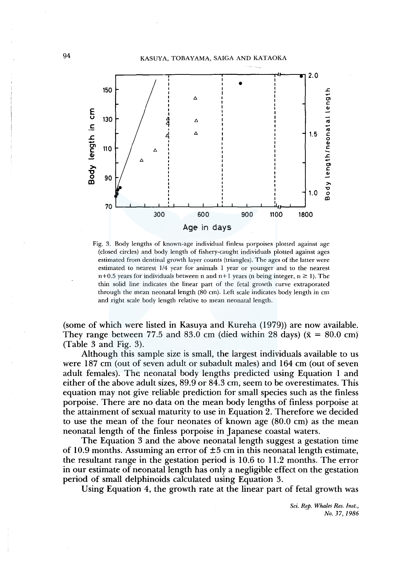94 KASUYA, TOBAYAMA, SAIGA AND KATAOKA



Fig. 3. Body lengths of known-age individual finless porpoises plotted against age (closed circles) and body length of fishery-caught individuals plotted against ages estimated from dentinal growth layer counts (triangles). The ages of the latter were estimated to nearest 1/4 year for animals 1 year or younger and to the nearest  $n+0.5$  years for individuals between n and  $n+1$  years (n being integer,  $n \ge 1$ ). The thin solid line indicates the linear part of the fetal growth curve extraporated through the mean neonatal length (80 cm). Left scale indicates body length in cm and right scale body length relative to mean neonatal length.

(some of which were listed in Kasuya and Kureha (1979)) are now available. They range between 77.5 and 83.0 cm (died within 28 days) ( $\bar{x} = 80.0 \text{ cm}$ ) (Table 3 and Fig. 3).

Although this sample size is small, the largest individuals available to us were 187 cm (out of seven adult or subadult males) and 164 cm (out of seven adult females). The neonatal body lengths predicted using Equation 1 and either of the above adult sizes, 89.9 or 84.3 cm, seem to be overestimates. This equation may not give reliable prediction for small species such as the finless porpoise. There are no data on the mean body lengths of finless porpoise at the attainment of sexual maturity to use in Equation 2. Therefore we decided to use the mean of the four neonates of known age (80.0 cm) as the mean neonatal length of the finless porpoise in Japanese coastal waters.

The Equation 3 and the above neonatal length suggest a gestation time of 10.9 months. Assuming an error of  $\pm 5$  cm in this neonatal length estimate, the resultant range in the gestation period is 10.6 to 11.2 months. The error in our estimate of neonatal length has only a negligible effect on the gestation period of small delphinoids calculated using Equation 3.

Using Equation 4, the growth rate at the linear part of fetal growth was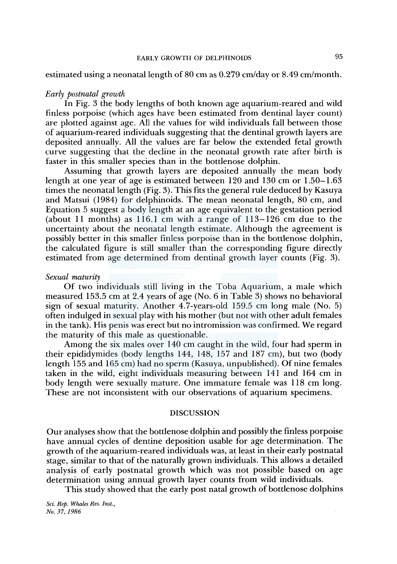### estimated using a neonatal length of 80 cm as 0.279 cm/day or 8.49 cm/month.

#### *Early postnatal growth*

In Fig. 3 the body lengths of both known age aquarium-reared and wild finless porpoise (which ages have been estimated from dentinal layer count) are plotted against age. All the values for wild individuals fall between those of aquarium-reared individuals suggesting that the dentinal growth layers are deposited annually. All the values are far below the extended fetal growth curve suggesting that the decline in the neonatal growth rate after birth is faster in this smaller species than in the bottlenose dolphin.

Assuming that growth layers are deposited annually the mean body length at one year of age is estimated between 120 and 130 cm or 1.50-1.63 times the neonatal length (Fig. 3). This fits the general rule deduced by Kasuya and Matsui (1984) for delphinoids. The mean neonatal length, 80 cm, and Equation 5 suggest a body length at an age equivalent to the gestation period (about 11 months) as  $116.1$  cm with a range of  $113-126$  cm due to the uncertainty about the neonatal length estimate. Although the agreement is possibly better in this smaller finless porpoise than in the bottlenose dolphin, the calculated figure is still smaller than the corresponding figure directly estimated from age determined from dentinal growth layer counts (Fig. 3).

#### *Sexual maturity*

Of two individuals still living in the Toba Aquarium, a male which measured 153.5 cm at 2.4 years of age (No. 6 in Table 3) shows no behavioral sign of sexual maturity. Another 4.7-years-old 159.5 cm long male (No. 5) often indulged in sexual play with his mother (but not with other adult females in the tank). His penis was erect but no intromission was confirmed. We regard the maturity of this male as questionable.

Among the six males over 140 cm caught in the wild, four had sperm in their epididymides (body lengths 144, 148, 157 and 187 cm), but two (body length 155 and 165 cm) had no sperm (Kasuya, unpublished). Of nine females taken in the wild, eight individuals measuring between 141 and 164 cm in body length were sexually mature. One immature female was 118 cm long. These are not inconsistent with our observations of aquarium specimens.

## DISCUSSION

Our analyses show that the bottlenose dolphin and possibly the finless porpoise have annual cycles of dentine deposition usable for age determination. The growth of the aquarium-reared individuals was, at least in their early postnatal stage, similar to that of the naturally grown individuals. This allows a detailed analysis of early postnatal growth which was not possible based on age determination using annual growth layer counts from wild individuals.

This study showed that the early post natal growth of bottlenose dolphins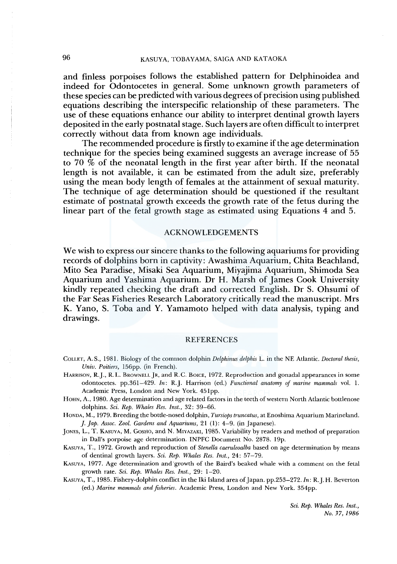and finless porpoises follows the established pattern for Delphinoidea and indeed for Odontocetes in general. Some unknown growth parameters of these species can be predicted with various degrees of precision using published. equations describing the interspecific relationship of these parameters. The use of these equations enhance our ability to interpret dentinal growth layers deposited in the early postnatal stage. Such layers are often difficult to interpret correctly without data from known age individuals.

The recommended procedure is firstly to examine if the age determination technique for the species being examined suggests an average increase of 55 to 70  $\&$  of the neonatal length in the first year after birth. If the neonatal length is not available, it can be estimated from the adult size, preferably using the mean body length of females at the attainment of sexual maturity. The technique of age determination should be questioned if the resultant estimate of postnatal growth exceeds the growth rate of the fetus during the linear part of the fetal growth stage as estimated using Equations 4 and 5.

#### ACKNOWLEDGEMENTS

We wish to express our sincere thanks to the following aquariums for providing records of dolphins born in captivity: Awashima Aquarium, Chita Beachland, Mito Sea Paradise, Misaki Sea Aquarium, Miyajima Aquarium, Shimada Sea Aquarium and Yashima Aquarium. Dr H. Marsh of James Cook University kindly repeated checking the draft and corrected English. Dr S. Ohsumi of the Far Seas Fisheries Research Laboratory critically read the manuscript. Mrs K. Yano, S. Toba and Y. Yamamoto helped with data analysis, typing and drawings.

#### REFERENCES

COLLET, A.S., 1981. Biology of the common dolphin *Delphinus delphis* L. in the NE Atlantic. *Doctoral thesis, Univ. Poitiers,* 156pp. (in French).

- HARRISON, R.J., R.L. BROWNELLJR, and R.C. BOICE, 1972. Reproduction and gonadal appearances in some odontocetes. pp.361-429. *In:* R.J. Harrison (ed.) *Functional anatomy of marine mammals* vol. 1. Academic Press, London and New York. 45lpp.
- HOHN, A., 1980. Age determination and age related factors in the teeth of western North Atlantic bottlenose dolphins. *Sci. Rep. Whales Res. Inst.,* 32: 39-66.

HONDA, M., 1979. Breeding the bottle-nosed dolphin, *Tursiops truncatus,* at Enoshima Aquarium Marineland. *]. Jap. Assoc. Zool. Gardens and Aquariums,* 21 (1): 4-9. (in Japanese).

JONES, L., T. KASUYA, M. GOSHO, and N. MIYAZAKI, 1985. Variability by readers and method of preparation in Dall's porpoise age determination. INPFC Document No. 2878. 19p.

KASUYA, T., 1972. Growth and reproduction of *Stenella caeruleoalba* based on age determination by means of dentinal growth layers. *Sci. Rep. Whales Res. Inst.,* 24: 57-79.

KASUYA, 1977. Age determination and 'growth of the Baird's beaked whale with a comment on the feta! growth rate. *Sci. Rep. Whales Res. Inst.,* 29: 1-20.

KASUYA, T., 1985. Fishery-dolphin conflict in the Iki Island area of Japan. pp.253-272. *In:* R.J. H. Beverton (ed.) *Marine mammals and fisheries.* Academic Press, London and New York. 354pp.